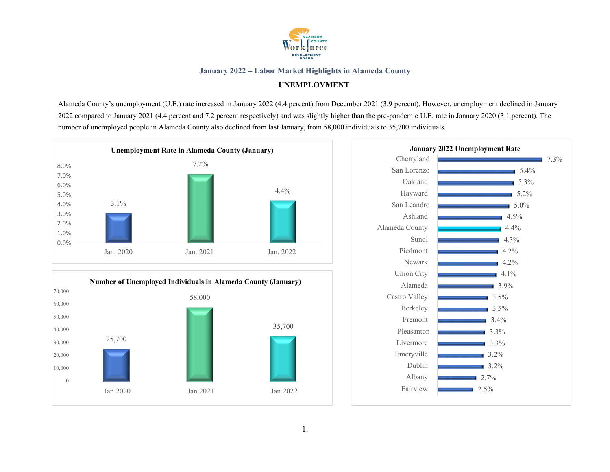

## **UNEMPLOYMENT**

Alameda County's unemployment (U.E.) rate increased in January 2022 (4.4 percent) from December 2021 (3.9 percent). However, unemployment declined in January 2022 compared to January 2021 (4.4 percent and 7.2 percent respectively) and was slightly higher than the pre-pandemic U.E. rate in January 2020 (3.1 percent). The number of unemployed people in Alameda County also declined from last January, from 58,000 individuals to 35,700 individuals.





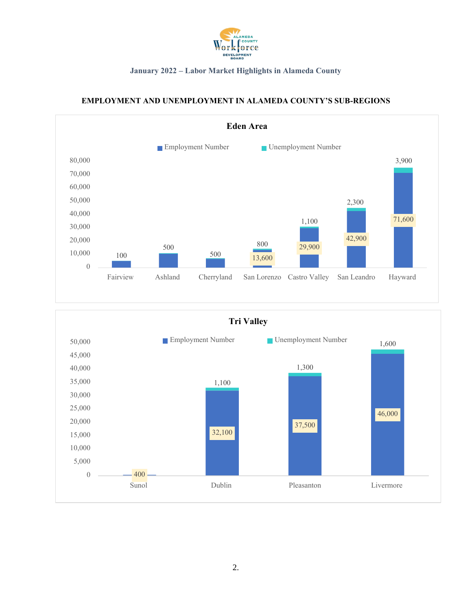



# **EMPLOYMENT AND UNEMPLOYMENT IN ALAMEDA COUNTY'S SUB-REGIONS**

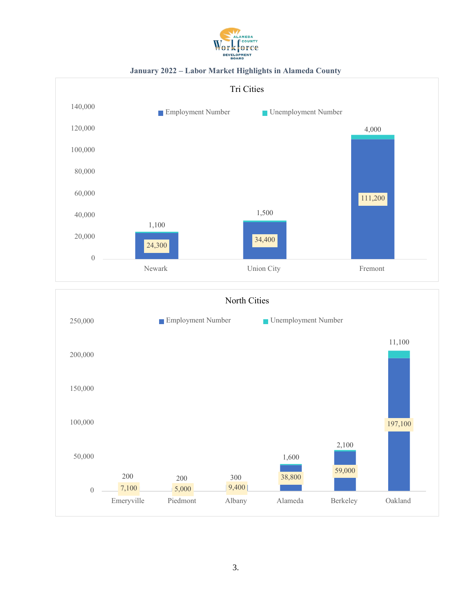





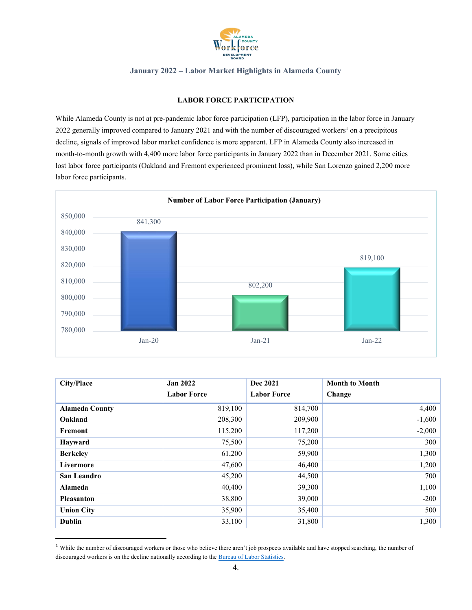

#### **LABOR FORCE PARTICIPATION**

While Alameda County is not at pre-pandemic labor force participation (LFP), participation in the labor force in January 2022 generally improved compared to January 2021 and with the number of discouraged workers<sup>1</sup> on a precipitous decline, signals of improved labor market confidence is more apparent. LFP in Alameda County also increased in month-to-month growth with 4,400 more labor force participants in January 2022 than in December 2021. Some cities lost labor force participants (Oakland and Fremont experienced prominent loss), while San Lorenzo gained 2,200 more labor force participants.



| City/Place            | <b>Jan 2022</b>    | Dec 2021           | <b>Month to Month</b> |
|-----------------------|--------------------|--------------------|-----------------------|
|                       | <b>Labor Force</b> | <b>Labor Force</b> | Change                |
| <b>Alameda County</b> | 819,100            | 814,700            | 4,400                 |
| Oakland               | 208,300            | 209,900            | $-1,600$              |
| Fremont               | 115,200            | 117,200            | $-2,000$              |
| Hayward               | 75,500             | 75,200             | 300                   |
| <b>Berkeley</b>       | 61,200             | 59,900             | 1,300                 |
| Livermore             | 47,600             | 46,400             | 1,200                 |
| San Leandro           | 45,200             | 44,500             | 700                   |
| <b>Alameda</b>        | 40,400             | 39,300             | 1,100                 |
| <b>Pleasanton</b>     | 38,800             | 39,000             | $-200$                |
| <b>Union City</b>     | 35,900             | 35,400             | 500                   |
| <b>Dublin</b>         | 33,100             | 31,800             | 1,300                 |

<sup>&</sup>lt;sup>1</sup> While the number of discouraged workers or those who believe there aren't job prospects available and have stopped searching, the number of discouraged workers is on the decline nationally according to the Bureau of [Labor Statistics.](https://www.bls.gov/web/empsit/cpseea38.htm)